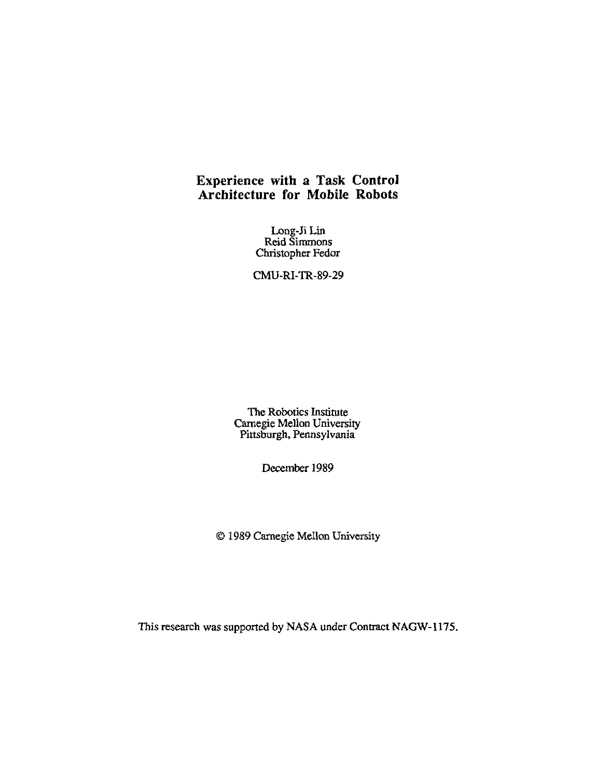## **Experience with a Task Control Architecture for Mobile Robots**

Long-Ji **Lin Reid Simmons**  Christopher **Fedor** 

CMU-RI-TR-89-29

The **Robotics Institute Carnegie** Mellon University Pittsburgh, **Pennsylvania** 

December 1989

*0* 1989 Camepie Mellon University

This research was supported by NASA under Contract NAGW-1175.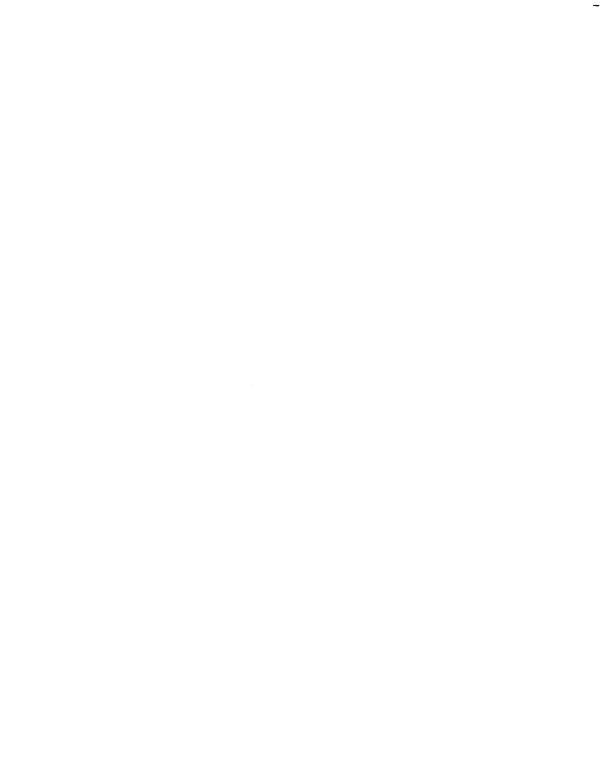$\label{eq:2.1} \frac{1}{\sqrt{2}}\left(\frac{1}{\sqrt{2}}\right)^{2} \left(\frac{1}{\sqrt{2}}\right)^{2} \left(\frac{1}{\sqrt{2}}\right)^{2} \left(\frac{1}{\sqrt{2}}\right)^{2} \left(\frac{1}{\sqrt{2}}\right)^{2} \left(\frac{1}{\sqrt{2}}\right)^{2} \left(\frac{1}{\sqrt{2}}\right)^{2} \left(\frac{1}{\sqrt{2}}\right)^{2} \left(\frac{1}{\sqrt{2}}\right)^{2} \left(\frac{1}{\sqrt{2}}\right)^{2} \left(\frac{1}{\sqrt{2}}\right)^{2} \left(\$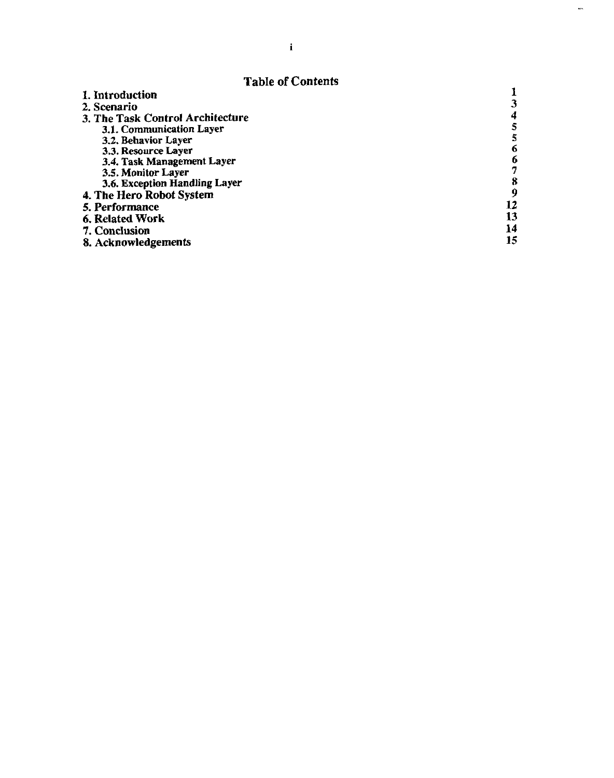**Table of Contents** 

| 1. Introduction                  |    |
|----------------------------------|----|
| 2. Scenario                      |    |
| 3. The Task Control Architecture |    |
| 3.1. Communication Layer         |    |
| 3.2. Behavior Layer              |    |
| 3.3. Resource Layer              |    |
| 3.4. Task Management Layer       |    |
| 3.5. Monitor Layer               | o  |
| 3.6. Exception Handling Layer    |    |
| 4. The Hero Robot System         | g  |
| 5. Performance                   | 12 |
| 6. Related Work                  | 13 |
| 7. Conclusion                    | 14 |
| 8. Acknowledgements              | 15 |
|                                  |    |

 $\omega_{\rm{S}}$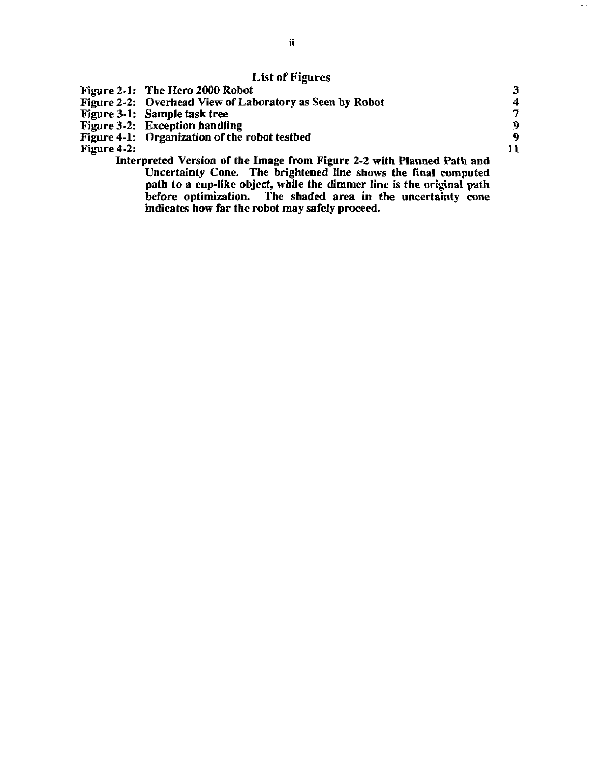# List of Figures

|                    | Figure 2-1: The Hero 2000 Robot                                        |    |
|--------------------|------------------------------------------------------------------------|----|
|                    | Figure 2-2: Overhead View of Laboratory as Seen by Robot               |    |
|                    | Figure 3-1: Sample task tree                                           |    |
|                    | <b>Figure 3-2: Exception handling</b>                                  | o  |
|                    | Figure 4-1: Organization of the robot testbed                          | o  |
| <b>Figure 4-2:</b> |                                                                        | 11 |
|                    | Interpreted Version of the Image from Figure 2-2 with Planned Path and |    |
|                    | Uncertainty Cone. The brightened line shows the final computed         |    |
|                    | path to a cup-like object, while the dimmer line is the original path  |    |

indicates how far the robot may **safely** proceed.

before optimization. The shaded area in the uncertainty cone

u.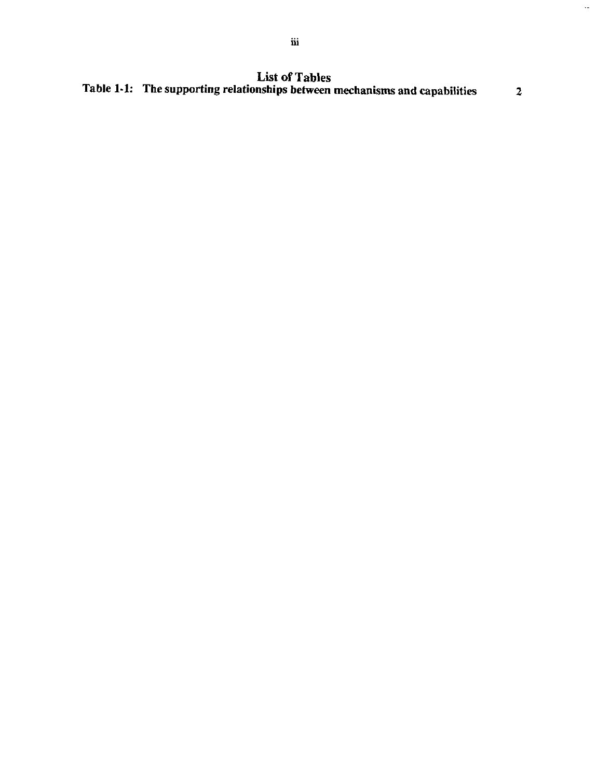# **List of Tables**

|  | Table 1-1: The supporting relationships between mechanisms and capabilities |  |
|--|-----------------------------------------------------------------------------|--|
|--|-----------------------------------------------------------------------------|--|

 $\sim$   $\sigma$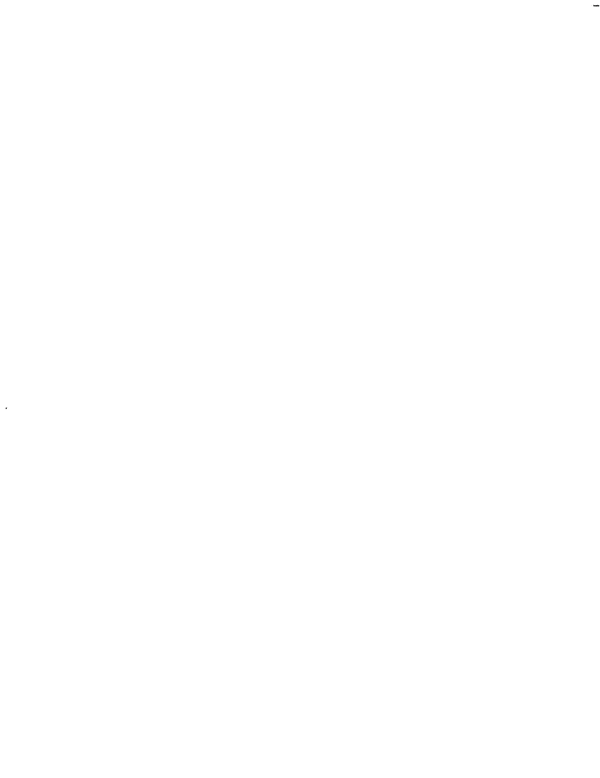$\overline{\phantom{a}}$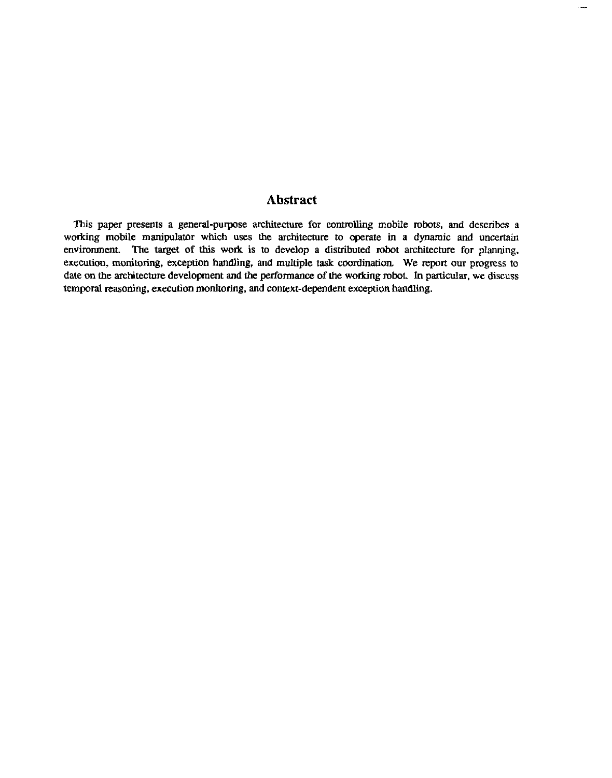## **Abstract**

*This* paper presents **a** general-purpose architecture for **oonyolling mobde robots,** and describes a working mobile manipulator which uses the architecture to operate in a dynamic and uncertain environment. The target of **this work** is to develop **a** distributed robot architecture for planning, execution, **monitoring,** exception handling, and multiple task coordination. We report our progress to date **on the architecture** development and the performance of the working robot. In **particular, we** discuss temporal **reasoning,** execution monitoring. and context-dependent exception handling.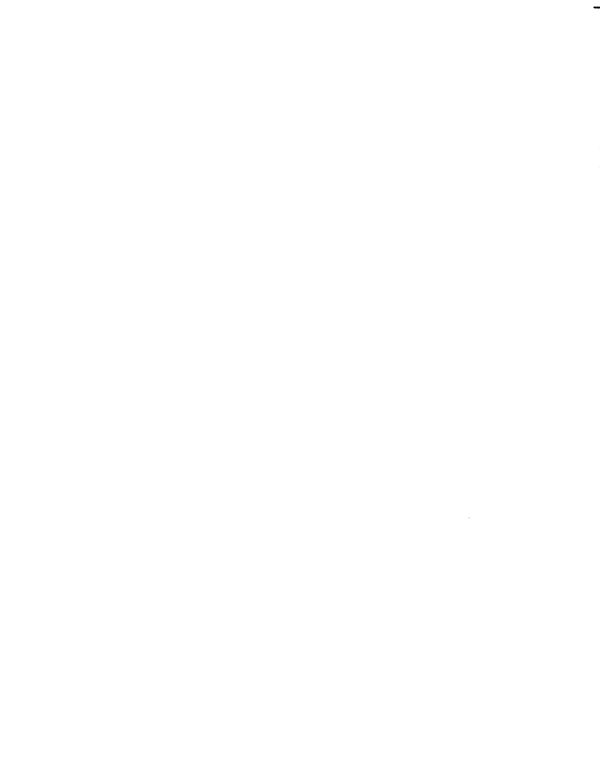$\label{eq:2.1} \frac{1}{\sqrt{2}}\left(\frac{1}{\sqrt{2}}\right)^{2} \left(\frac{1}{\sqrt{2}}\right)^{2} \left(\frac{1}{\sqrt{2}}\right)^{2} \left(\frac{1}{\sqrt{2}}\right)^{2} \left(\frac{1}{\sqrt{2}}\right)^{2} \left(\frac{1}{\sqrt{2}}\right)^{2} \left(\frac{1}{\sqrt{2}}\right)^{2} \left(\frac{1}{\sqrt{2}}\right)^{2} \left(\frac{1}{\sqrt{2}}\right)^{2} \left(\frac{1}{\sqrt{2}}\right)^{2} \left(\frac{1}{\sqrt{2}}\right)^{2} \left(\$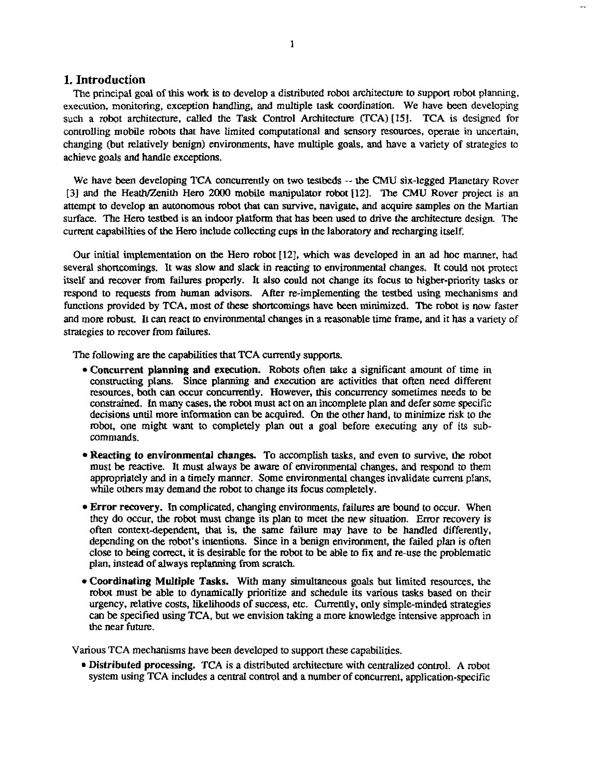## **1. Introduction**

The principal goal of **this** work is *to* develop a distributed robot architecture *to* support robot planning, execution, monitoring, exception handling, and multiple task coordination. We have been developing such a robot architecture, called the Task Control Architecture (TCA)<sup>[15]</sup>. TCA is designed for contmlling mobile **robots** that have limited computational and **sensory resources, operate** in uncertain, changing (but relatively benign) environments, have multiple **goals,** and have a variety of strategies to achieve goals and handle exceptions.

We have **been** developing TCA concurrently on two **testbeds** -- **the** CMU six-legged Planetary Rover **[31** and the HeatNZenith Hero 2oM) mobile manipulator robot [12]. *The* **CMU** Rover project is **an**  attempt to develop an autonomous robot that **can** survive, navigate, **and** acquire samples on the Martian surface. The Hem *testbed* is an indoor platform that **has** been used to drive the **architecture** design, The current capabilities of **the** Hero include collecting cup in **the** laboratory and *recharging* itself.

**Our** initial implementation *on* **the Hero** robot 1121, which was developed in **an ad** hoc manner. had several shortcomings. It was slow **and slack** in reacting to environmental changes. It could not protect itself and recover from failures properly. It **also** could not change its focus to higher-priority **tasks** or respond *to* requests from human advisors. After re-implementing **the testbed** using mechanisms and **functions** provided by TCA. **most** of these shortcomings have been minimized. **The** robot is now faster and more robust. It can react to environmental changes in a reasonable time frame, and it has a variety of strategies *to* recover from failures.

The following **are the** capabilities that TCA currently **supports.** 

- **Concurrent planning and execution. Robots** often **take** a significant amount of time in constructing plans. Since planning **and execution** are activities that often need different resources, **both** can **occur concurrently.** However, **this** concurrency sometimes needs to be constrained. In many cases, the robot must act on an incomplete plan and defer some specific decisions **until more** information can be acquired. *On* **the** other hand, to minimize **risk** *to* **the robot, one** might want to completely plan out a goal before executing any of its subcommands.
- **Reacting to environmental changes.** To accomplish tasks, and even to survive, **the** robot must be reactive. It must always be aware of environmental changes, and respond *to* them appropriately **and** in a timely manner. Some environmental changes invalidate current plans, **while others** may demand **the** robot *to* change its **focus** completely.
- **Error recovery.** In complicated, changing environments, failures are bound to occur. When they do occur, the robot must change its plan to meet the new situation. Error recovery is often context-dependent, that is, **the** same failure may have to be handled differently. depending on the robot's intentions. Since in a benign environment, **the** failed plan is often close to being correct, it is desirable for the robot to be able to fix and re-use the problematic plan, instead of always replanning **from** scratch.
- **Coordinating Multiple Tasks.** With many simultaneous goals but limited resources, the robot must **be** able to dynamically prioritize *and* schedule its various **tasks** based on their urgency, relative *costs,* likelihoods of success, etc. Currently, **only** simple-minded *strategies*  can be specified using TCA, but we envision taking a more knowledge intensive approach in the near future.

Various TCA mechanisms have been developed to support these capabilities.

**Distributed processing. TCA** is a distributed architecture with centralized control. A **robot**  system **using** TCA includes a **central** control and a number of concurrent, application-specific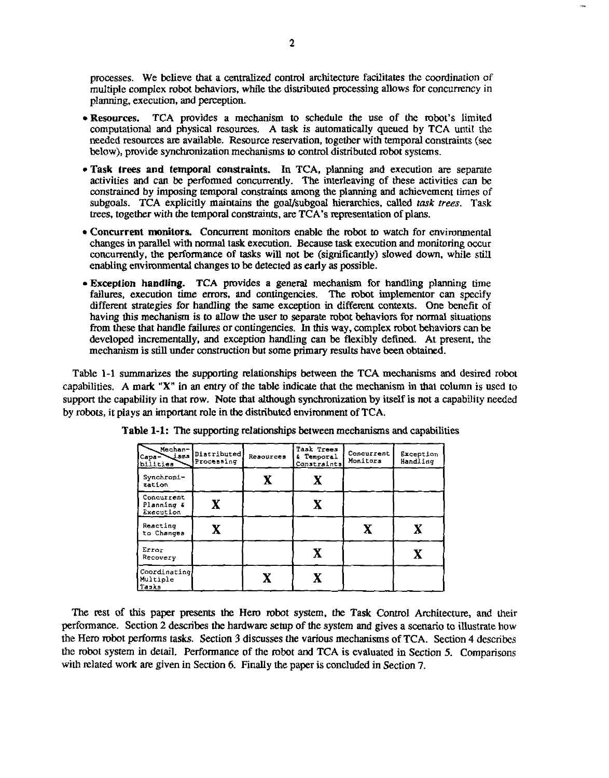processes. We believe that a centralized control architecture facilitates the coordination of multiple complex mbot behaviors, while **the distributed** processing **allows** for concunency in planning, execution, and perception.

- TCA provides a mechanism to schedule the use of the robot's limited computational and physical resources. **A** task is automatically queued by **TCA** until the needed resoums **are** available. Resource reservation, together with temporal constraints *(see*  below), provide synchronization mechanisms to control distributed robot systems. **\*Resources.**
- **\*Task** trees **and** temporal constraints. In **TCA,** planning and execution **are** separate activities and can *be* performed concurrently. The interleaving of these activities can be constrainad by imposing temporal constraints among the planning and achievement times *of*  subgoals. **TCA** explicitly maintains the goal/subgoal hierarchies. called *task bees.* Task frees, together with the temporal constraints, are TCA's representation of plans.
- Concurrent monitors Concunrent monitors enable **the** mbot *to* watch for environmental **changes** in parallel with normal task execution. Because task execution and monitoring **occur**  concurrently, the performance of **tasks** will not *be* (significantly) slowed down, while **still**  enabling environmental changes to be detected as **early as** possible.
- **Exception handling.** TCA provides a general mechanism for handling planning time failures, execution time emrs, and contingencies. The robot implementor can specify different strategies **for** handling **the** same exception *in* different contexts. One benefit of having **this** mechanism is **to** allow the user to *separate* robot behaviors for normal situations from these that handle failures or contingencies. In this way, complex robot behaviors can be developed incrementally. and exception handling can be flexibly defined. At present, the mechanism is still under construction but some primary results have been obtained.

Table 1-1 **summarizes** the **supporting** relationships between the TCA mechanisms and desired robot capabilities. A mark **"X"** in an entiy of the table indicate that the mechanism in **that** column is used to **support** the capability in that row. **Note** that **although** synchronization by itself is not **a** capability needed by **robots,** it plays an important mle in **the** distributed environment of TCA.

| Mechan-<br>$Capa - \searrow sms$<br>bilitica | Distributed<br>Processing | Resources | Task Trees<br>& lemooral<br>Constraints | Concurrent<br>Monitors | Exception<br>Handling |
|----------------------------------------------|---------------------------|-----------|-----------------------------------------|------------------------|-----------------------|
| Synchroni-<br>zation                         |                           | X         | X                                       |                        |                       |
| Concurrent<br>Planning &<br>Execution        | X                         |           | X                                       |                        |                       |
| Reacting<br>to Changes                       |                           |           |                                         | X                      |                       |
| Error<br>Recovery                            |                           |           | X                                       |                        |                       |
| Coordinating<br>Multiple<br>Tasks            |                           |           |                                         |                        |                       |

Table **1-1:** The supporting relationships between mechanisms and capabilities

The rest of **this** paper presents **the** Hero mbot system. **the** Task Control Architecture, and their performance. Section 2 describes the hardware setup of the system **and** gives a scenario to illustrate **how**  the Hero robot **performs** tasks. Section 3 discusses the **various** mechanisms of **TCA.** Section **4** describes the robot system in detail. Performance of the **robot** and TCA is evaluated in Section *5.* Comparisons with related work **are** given in Section 6. Finally the paper **is** concluded in Section 7.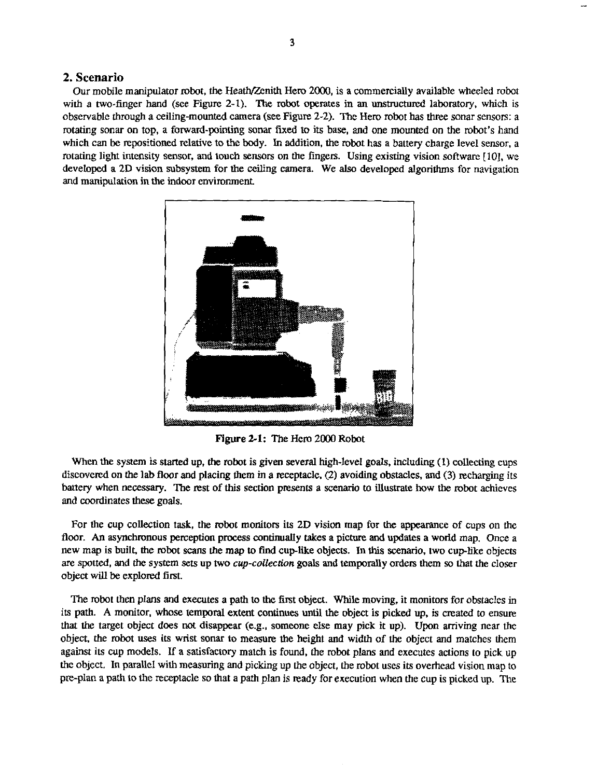## *2.* **Scenario**

Our mobile manipulator robot, the Heath/Zenith Hero 2000, is a commercially available wheeled robot with a two-finger hand (see Figure 2-1). The robot operates in an unstructured laboratory, which is observable through a ceilingmounted camera (see **Figure** 2-2). The Hero robot has three sonar sensors: a rotating sonar on top, a forward-pointing **sonar fixed** to its base, and one mounted **on** the robot's hand which can **be** repositioned relative to the **body.** In addition, the robot **has** a battery charge level sensor, a rotating light intensity sensor, and touch sensors on the fingers. Using existing vision software [10], we developed a 2D vision subsystem for the ceiling camera. We also developed algorithms for navigation and manipulatio developed a 2D vision subsystem for the ceiling camera. We also developed algorithms for navigation and manipulation in the indoor environment



**Figure 2-1:** The Hero **ZOO0** Robot

When the system is started up, the robot is given several high-level goals, including (1) collecting cups discovered on the lab **floor** and placing them in a receptacle. (2) avoiding obstacles, and (3) recharging its battery when necessary. The rest of this section presents a scenario to illustrate how the robot achieves and coordinates these goals.

For the cup collection task, the **mbot** monitors its **2D** vision map for **the** appearance of cups on the **floor.** *An* asynchronous **perception prucess** continually **takes** a picture **and** updates a world map. Once a new map is built, the robot scans the map to find cup-like objects. In this scenario, two cup-like objects **are** spotted, and the system **sets** up two *CUp-COlleCtiOR* goals and temporally orders **them** *so* that the closer object wiU **be** explored first.

The robot **then** plans and **executes** a path to **the** first object. While moving, it **monitors** for obstacles in its path. **A** monitor, whose **temporal** extent continues until the object is picked up, is created to ensure that **the** target object does **not** disappear **(e.g., someone** else may pick it up). Upon arriving near the object, the robot uses its wrist **sonar** to measure the height and width of the object **and** matches them against its cup models. If a satisfactory match is found, the robot plans and executes actions to pick up the object. In parallel with measuring and picking up the object, the robot uses its overhead vision map *to*  pre-plan a path lo the receptacle so that **a** path plan is **ready** for execution when the cup is picked up. The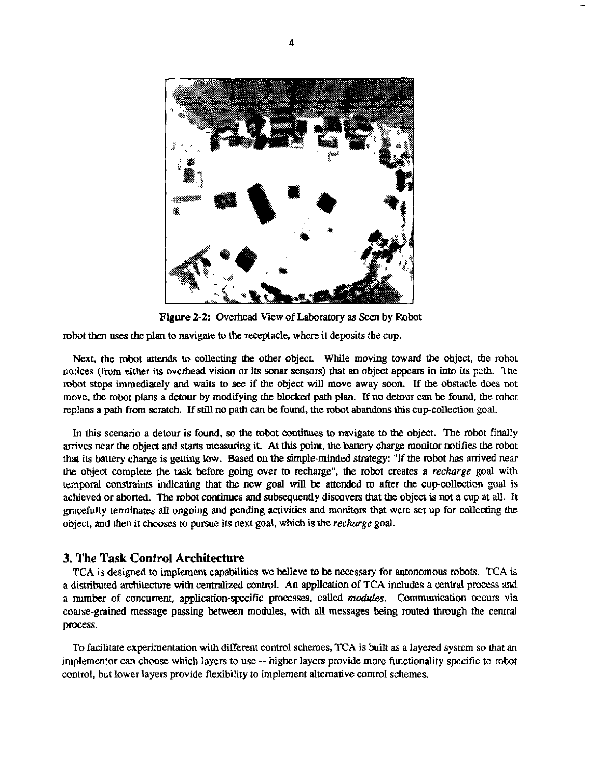

Figure **2-2:** Overhead View of Laboratory **as** Seen by Robot

robot then uses the plan to navigate to the receptacle, where it deposits the cup.

Next. **the** mbot attends to collecting the other object While moving **toward** the object, the robot notices (from either its overhead vision or its sonar sensors) that an object appears in into its path. The mbot stops immediately and waits to *see* if the object will move away **soon.** If **the** obstacle does not move, **the** mbot plans a detour by modifying the blocked **path** plan. If no detour can **be** found, the robot replans a path from scratch. If **still** no path *can* be found, the mbot abandons **this** cupcollection goal.

In this scenario a detour is found, *so* **the** mbot continues **to** navigate to **the** object. The robot finally anives near the object and starts **measuring** it. **At this** point, the battery charge monitor notifies the robot that its battery charge is getting **low.** Based *on* **the** simple-minded **strategy:** "if the robot has arrived near the object complete the **task** before going over to recharge", the robot creates a *rechurge* goal **with temporal** constraints indicating that *the* new **goal** will be attended to after **the cup-collection** goal is achieved or aboned. *The* robot continues and **subsequently** discovers that *tk* object is not a cup at all. It **gracefully** terminates *all* ongoing *and* pending activities **and monitors** that were *set* up for collecting the object, and then it chooses *to* pursue its next goal, **which** is the **rechmge** goal.

## **3. The Task Control Architecture**

**TCA** is designed **to** implement capabilities we believe to be *necessary* for autonomous **robots. TCA** is a distributed architecture with centralized control. *An* application of **TCA** includes a central process and a **number** of **concurrent,** application-specific processes, called *modules.* Communication occurs via coarse-grained message passing between modules, with all messages being routed through the central process.

To facilitate experimentation with different control schemes, TCA is built **as** a layered systcm SO that an implementor can choose which layers to use -- higher layers provide more functionality specific to robot **control,** but lower layers provide flexibility to implement alternative control schemes.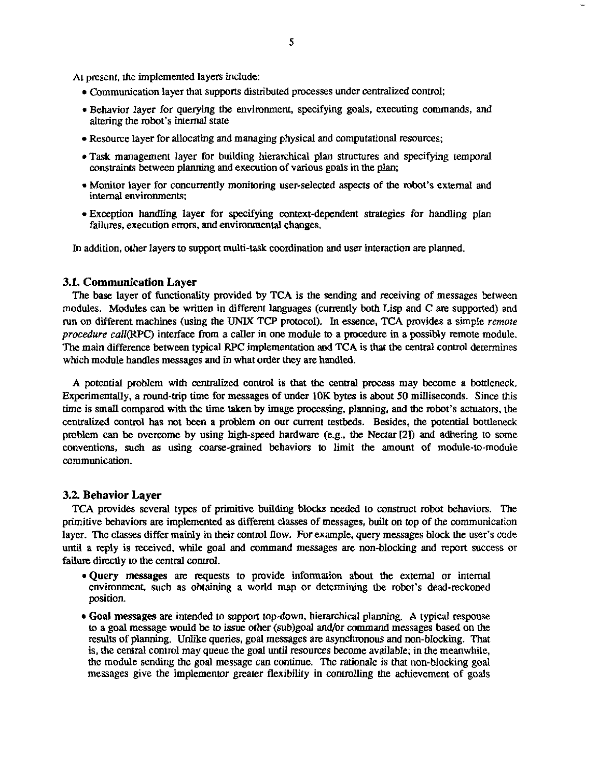At present, the implemented layers include:

- Communication layer that **supports** distributed processes under centralized **control;**
- Behavior layer for querying **the** environment, specifying goals, executing commands, and altering the robot's internal *stafe*
- Resource layer for allocating and managing physical and computational resources;
- *<sup>0</sup>*Task management layer for building hierarchical plan structures and specifying temporal constraints between planning and execution of various goals in the plan,
- **s Monitor** layer for concurrently monitoring user-selected *aspects* of the robot's external and internal environments;
- -Exception handling layer for specifring context-dependent strategies for handling plan failures, execution errors, and environmental changes.

In addition, other layers *to* **support** multi-task coordination **and** user interaction *are* planned.

#### **3.1. Communication Layer**

The base layer of functionality provided by **TCA** is the sending **and** receiving of messages between modules. Modules can be written in different languages (currently both Lisp and C are supported) and run on different machines **(using** the UNIX **TCP** protocol). In essence, **TCA** provides a simple remote procedure call(RPC) interface from a caller in one module to a procedure in a possibly remote module. The main difference between typical RPC implementation and TCA is that the central control determines which module handles messages and in what order they are **handled.** 

A potential problem with centralized control is that the central process may become a bottleneck. Experimentally, a **round-trip** time for messages of under **1OK** bytes is **about 50** milliseconds. Since **this**  time is **small** compared **with** the time taken by image processing, planning, **and** the robot's actuators, the centralized control **has** not been a problem on our cmnt **testbeds.** Besides, the **potential bottleneck**  problem can be overcome by using high-speed hardware (e.g., the Nectar [2]) and adhering to some conventions, such **as** using **coarse-grained** behaviors to limit the amount of module-lo-module communication.

#### **3.2. Behavior Layer**

**TCA** provides several types of primitive building blocks needed to construct *robot* behaviors. The primitive behaviors **are** implemented **as** different classes of messages, built on top of the communication layer. The classes differ mainly in their control flow. For example, query messages block the user's code until a reply is received, while goal and command messages are non-blocking and report success or failure directly to the central control.

- **-Query** messages are requests to provide information about the external or internal environment, such as obtaining a world map or determining the robot's dead-reckoned position.
- Goal messages are intended to support top-down, hierarchical planning. A typical response *to* a goal message would *be to* issue other **(sub)goal** and/or command messages based on the results of planning. Unlike queries, goal messages are asynchronous and non-blocking. That is, the central control may queue the goal untiI **resources** become available; in the meanwhile, the module sending the goal message can continue. The rationale is that non-blocking goal messages give the implementor greater flexibility in controlling the achievement of goals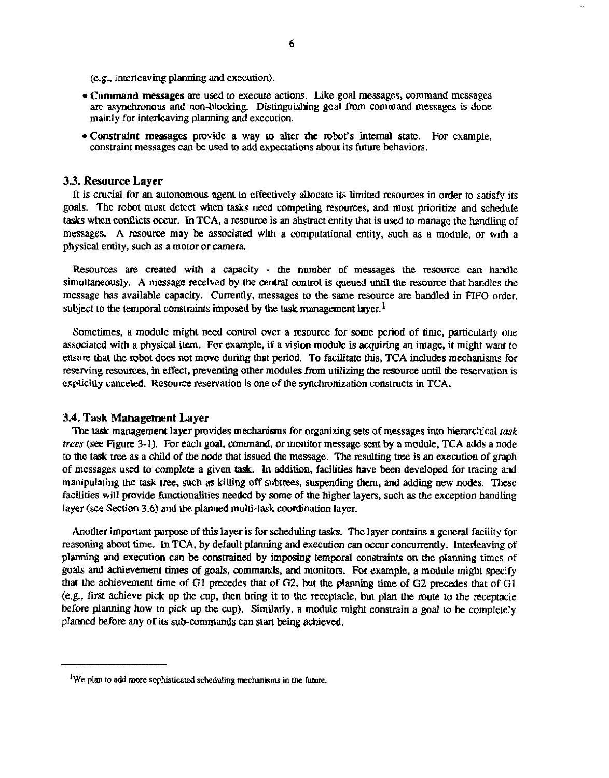(e.g.. interleaving planning and execution).

- **Command messages are used** to execute actions. Like goal messages, command messages **are** asynchronous and non-blocking. Distinguishing goal **from** command messages is done mainly for interleaving planning and execution.
- For example, \*Constraint **messages** provide a way to alter *the* robot's internal **state.**  constraint messages can be used to **add** expectations about its future behaviors.

#### **3.3. Resource Layer**

It is crucial for an autonomous agent to effectively allocate its limited resources in order to satisfy its goals. The robot must detect when tasks need competing resources, and must prioritize and schedule **tasks** when conflicts **occur.** In **TCA,** a resource is an abstract entity that is used to manage the handling of messages. **A** resource may **be** associated with a computational entity, such as a module, or with a physical entity, such **as** a motor or camera

Resources **are** created with a capacity - the number of messages the resource can handle simultaneously. **A** message received by the **central** control is queued until the resource that handles the message *has* available capacity. Cumntly, messages to **the** same resource **are** handled in FIFO order, subject to the temporal constraints imposed by the **task** management layer.'

Sometimes, a module might need control over a **resource** for some **period** of time, particularly one associated with a physical item. For example, if a vision **module** is acquiring an image, it might want to ensure that **the robot** does not move during that period. To facilitate **this,** TCA includes mechanisms for reserving resources, in effect, preventing other modules from utilizing the resource until the reservation is explicitly canceled. Resource reservation is one of the synchronization constructs in **TCA.** 

#### **3.4. Task Management Layer**

The task management layer provides mechanisms for organizing **sets** of messages into hierarchical *rusk frees* (see figure **3-1).** For each goal, command, or monitor message sent **by** a module, **TCA** adds a node to the **task** tree as a child of **the** node that issued the message. The resulting **tree** is **an** execution of graph of messages used to complete a given task. *In* addition. facilities have been developed for uacing and manipulating the **task** tree, such **as killing off subtraes,** suspending *them,* and adding new nodes. These facilities will provide functionalities **needed** by some of the higher layers, such **as** the exception handing layer *(see* Section 3.6) and the planned multi-task coordination layer.

Another important **purpose** of **this** layer is for **scheduling tasks.** *The* layer contains a general facility for reasoning abut time. In **TCA.** by default planning and execution can occur concurrently. Interleaving of planning and execution can **be constrained** by imposing temporal mnstraints on **the** planning times of goals and achievement **times** of goals, commands, **and** monitors. For example, a module might specify that the achievement time of G1 precedes that of G2, but the planning time of G2 precedes that of G1 (e.g., first achieve pick up the cup, then bring it to the receptacle. **but** plan the **route** to the receptacle before planning how to pick up the cup). Similarly, a module might constrain a *goal* to be completely planned before any of its sub-commands can start being achieved.

**<sup>&#</sup>x27;we plan to add mm sophisticated scheduling mechanisms in the** future.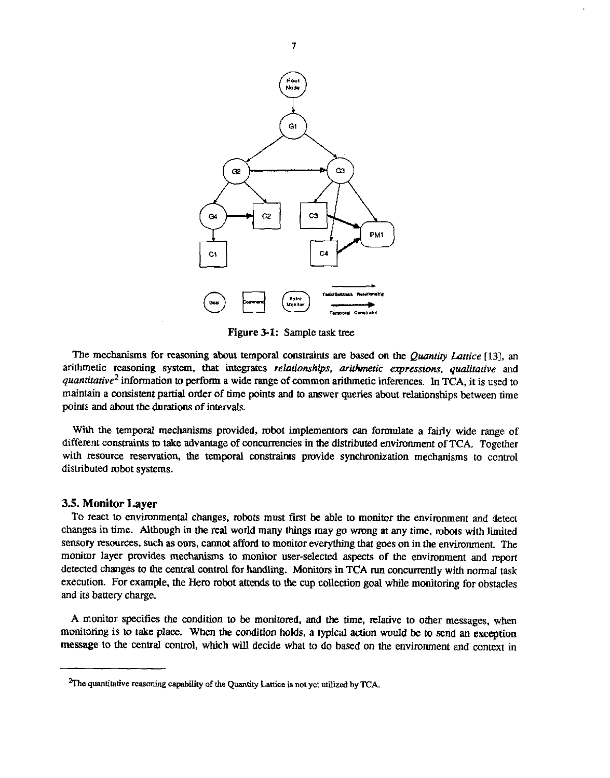

**Figure 3-1:** Sample **task** tree

The mechanisms for **reasoning** about temporal **constraints are** based on **the** *Quantiry Lattice* [131, an arithmetic reasoning system, that integrates *relationships*, arithmetic expressions, qualitative and *quantifutive2* information *to* perform a wide range of **common** arithmetic inferences. In **TCA,** it is **used** to **maintain** a consistent partial order of time **points** and *to* answer queries about relationships between time points and about the durations of intervals.

With the temporal mechanisms provided, robot implementors can formulate a fairly wide range of different constraints to take advantage of concurrencies in the distributed environment of TCA. Together with resource reservation, the temporal constraints provide synchronization mechanisms to control distributed robot systems.

#### **3.5. Monitor Layer**

To react to environmental changes, robots must first be able to monitor the environment and detect changes in time. Although in the real world many things may go wrong at any time, robots with limited **sensory** resources, such **as ours.** cannot afford *to* monitor everything that goes on in the environment. The monitor layer provides mechanisms to monitor user-selected **aspects** of the environment and report detected changes *to* the **antral** control for **handlig. Monitors in TCA run** concurrently with normal task execution. For example, the Hero robot attends to the cup collection goal while monitoring for obstacles and its battery charge.

**A** monitor specifies the condition to be **monitored,** and **the** time, relative to other messages, when monitoring is to take **place. When the** condition holds, a typical action would **be** to send an exception message to the **central** control, which will decide what to do based on the environment **and** context in

*<sup>%</sup>e* **quantitative reawning** capability of rhe Puantity **Lattice ia not yet utiliied by TCA**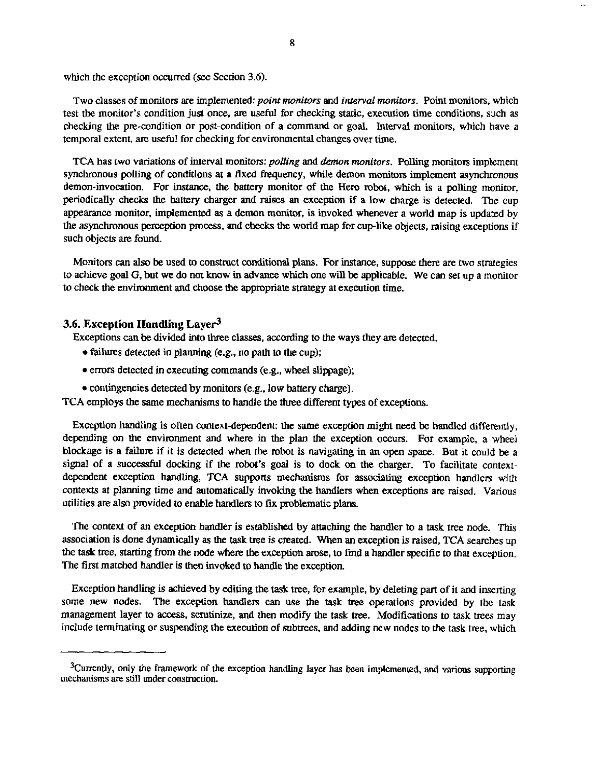which the exception occurred *(see* Section 3.6).

Two classes of monitors **are** implemented: *point monitors* and *inrerval monitors.* Point monitors, which test the monitor's condition just once, **are** useful for checking **static,** execution time conditions, such **as**  checking **the** precondition or post-condition of a command or goal. Interval monitors, which have **<sup>a</sup>** temporal extent, **are** useful for checking for environmental changes over **time.** 

**TCA** has two variations of interval monitors: *polling* and *demon* monitors. Polling monitors implement synchronous polling of **conditions at** a fixed frequency, while demon monitors implement asynchronous demon-invocation. For instance, the battery monitor of the Hero robot, which is a polling monitor, periodically checks the **battery** charger and **raises** an exception if a low charge is detected. The cup appearance monitor, implemented **as** a demon monitor, is invoked whenever a world map is updated by the asynchronous perception process, and checks the world map for cup-like objects, raising exceptions if such objects **are** found.

Monitors can also be used to construct conditional plans. For instance, suppose there **are** two strategies *to* achieve goal G, but **we do** not know in advance which one will **be** applicable. We can *set* up a monitor to check the environment and choose the appmpnate *strategy* at execution time.

## **3.6. Exception Handling Laye?**

Exceptions *can* be divided **into** three classes. according to the ways they **are** detected.

- failures detected in planning (e.g., no path to **the** cup);
- errors detected in executing commands (e.g., wheel slippage);
- contingencies detected by monitors (e.g., **low battery** charge).

**TCA** employs the same mechanisms to handle the three different types of exceptions

Exception handling is often context-dependent: the **same** exception might need be handled differently, depending on the environment and where **in** the plan the exception occurs. For example, a wheel blockage is a failure if it is **detected when** the *robot* is navigating in **an** open space. But it could **be** a signal of a successful docking if **the** robot's goal is to **dock** *on* the charger. To facilitate contextdependent exception handling, **TCA supports** mechanisms for **associating** exception handlers with contexts at planning time and automatically invoking **the** handlers when exceptions are raised. Various utilities **are** also provided to enable handlers *to* fix problematic plans.

The context of an exception handler is established by attaching the handler to a **task** tree node. This association is done dynamically **as the task** me is created. When **an** exception is raised, **TCA searches** up the **task** tree, staning **from the** node where the exception arose. to find a handler specific to that exception. The **first** matched handler is **then** invoked to handle the exception.

Exception handling is achieved by editing the task tree, for example, by deleting part of it and insening some new nodes. The exception handlers *can* **use** the **task wee** operations provided by **the** task management layer to **access, scrutinize, and** then modify **the task** tree. Modifications to **task trees** may include terminating **or** suspending the execution of submes, and adding new nodes to **the task tree, which** 

**<sup>3</sup>Currently, only** the framework of the exception handling layer has been implemented, and **various** supporting **mechanisms are** still under **construction.**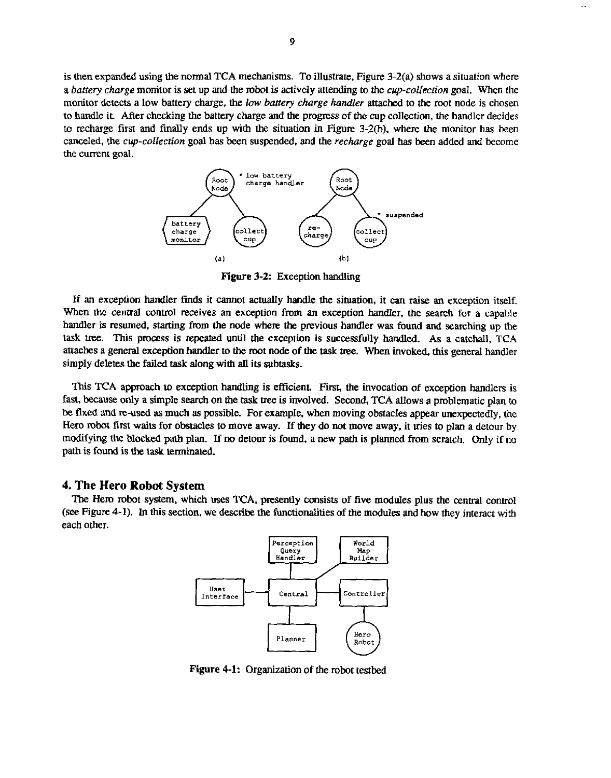*is* **then** expanded using the **normal TCA** mechanisms. To illustrate, Figure 3-2(a) shows a situation where **a** *battery charge* monitor is set up **and** the robot is actively attending to the *cup-collection* goal. When the **monitor** detects a low battery charge, the *low burterj charge handler* attached to the root node is chosen to handle it. After checking the battery charge and the progress of the cup collection, the handler decides to recharge **fira** and finally ends up with **the** situation in Figure **3-2(b).** where the monitor has ken canceled, the cup-collection goal **has** been suspended, and the *recharge* goal **has** been added and become the current **goal.** 



**Figure 3-2: Exception handling** 

If **an** exception handler **finds** it cannot actually handle **the** situation, it can **raise** an exception itself. When the central control receives an exception from **an** exception **handler. the** search for a capable handler is resumed, statting **from the** node where **the** previous handler **was** found **and** searching up the **task we. This process** is **repeated until** the exception is **successfully** *handled.* As a catchall, TCA attacks a general exceprjon handler to **the mot node of the** task **UBe.** When invoked, **this** general handler simply deletes the failed task along with **all** its subtasks.

**This** TCA approach to exception handling is efficient **Firsf the** invocation of exception handlers is fast, because only a simple search on the **task tree** is involved. Second, TCA **allows** a problematic plan to **be** fixed and re-used **as** much **as** possible. For example, when moving obstacles appear unexpectedly, the Hero robot first waits for obstacles to move away. If they do not move away, it tries to plan a detour by modifying the blocked **path** plan. **If no** detour is found, a new path is planned from scratch. Only if no path is found is **the** task terminated.

## **4. The Hero Robot System**

The Hem **robot** system, **which uses** TCA. presently consists of five modules plus the cenual control **(see** Figure 4-1). *In* this **section,** we describe **the** functionalities of the modules and how they interact **with**  each other.



Figure 4-1: Organization of the **robot testbed** 

 $\epsilon_{\rm{max}}$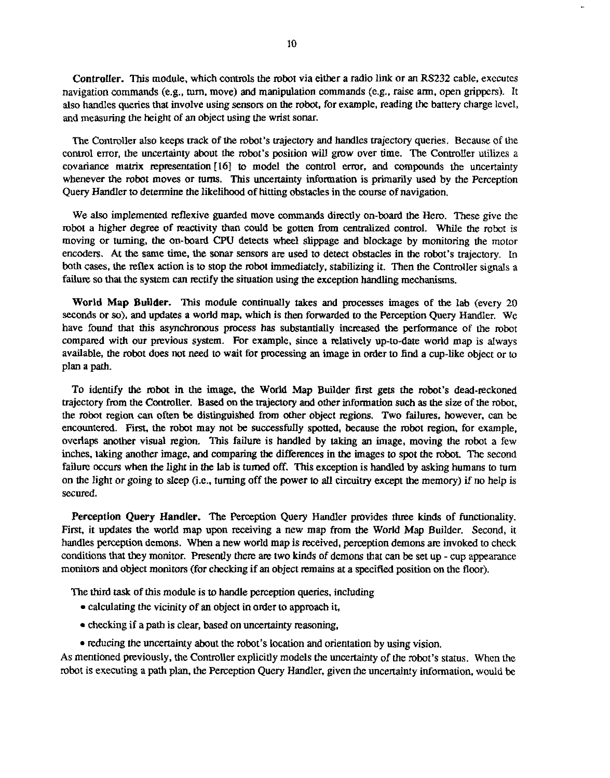**Controller.** This module, which controls the robot via either a radio link or an **RS232** cable. exccutes navigation commands (e.g., **turn.** move) and manipulation commands (e.g.. raise am, open grippers). It also handles queries that involve using sensors on the **robot,** for example, reading **the** battery charge level, and measuring the height of an object using the wrist sonar.

The Controller also keeps track of the robot's trajectory and handles trajectory queries. Because of the control **error,** the uncertainty about the robot's position will grow over time. The Controller **utilizes** a covariance matrix representation[16] to model the contml **ermr, and** compounds the uncertainty whenever the robot moves or turns. This uncertainty information is primarily used by the Perception Query Handler to determine the likelihood of hitting obstacles in the course of navigation.

We also implemented reflexive guarded move **commands** directly on-bard the Hero. These give the **robot** a higher degree of reactivity **than** could **be** gotten from centralized control. While the robot is moving **or** tuming. **the** on-board **CF'U** detects wheel slippage and blockage by monitoring the motor encoders. **At the** same time, the sonar **sensors** are **used** to detect obstacles in the robot's trajectory. In both cases, the reflex action is to stop the robot immediately, stabilizing it. Then the Controller signals a failure so that the system can rectify the situation using the exception handling mechanisms.

World Map Builder. This module continually **takes** and processes images of the lab (every 20 seconds **or** *so}.* **and** updates a world map, which is then forwarded to the Perception Query Handler. We have found that this **asynchronous** process has substantially increased the performance of the robot compared with our previous **system.** For example, since a relatively up-to-date world map is always available, the robot **does** not need to wait for pcessing **an** image in order to find a cup-like object or **to**  plan a path.

To identify **the** robot in **the** image, **the World** Map Builder first gets the robot's dead-reckoned trajectory from the Controller. Based on the trajectory **and** other infomation such **as** the size *of* the robot. the **robot region** *can* often be distinguished **from** other object regions. Two failures, however, can be encountered. First. **the** robot may not **be** successfully **spotted,** because the robot **region,** for example, overlaps another visual region. This failure is handled by taking an image, moving the robot a few inches, taking another image, **and** comparing **the** differences in **the** images *to* spot the robot. The second failure occurs when **the** light in *the* lab **is** turned off. This exception is handled by asking **humans** to **turn**  on the light or going to sleep (i.e., **turning** off the power to **all** circuitry except the memory) *if* no help is secured.

Perception Query Handler. The Perception Query Handler provides three kinds of functionality. First, it updates the world map upon receiving a new map from the World *Map* Builder. Second, it handles perception demons. **When** a new world map is received, perception demons **are** invoked to check conditions that they monitor. Presently there **are** two **kinds** *of* demom that *can* **be set** up - cup appearance **monitors** and object monitors (for checking if an object mains at a specified position on the **floor).** 

The third task of this module is to handle perception queries, including

- calculating the vicinity of an object in order to approach it,
- checking if a path is clear, based on uncertainty reasoning.
- reducing the uncertainty about the robot's location and Orientation by using vision.

As mentioned previously, the Controller explicitly models the uncertainty of the robot's status. When the robot is executing a **path** plan, the Perception Query Handler, given the uncertainty information, would be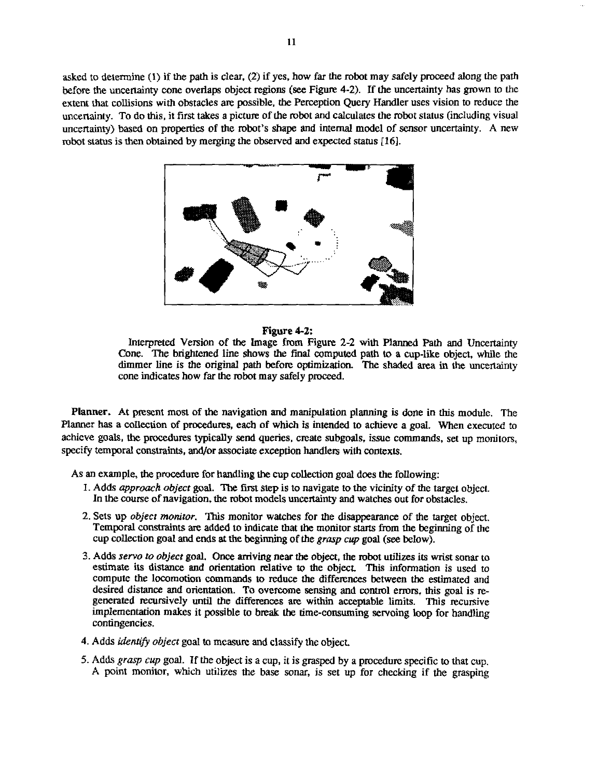asked to determine **(1)** if the path is clear, **(2)** if yes, how far the mbot may safely proceed along **the** path before the uncertainty cone overlaps object regions (see Figure 4-2). If the uncertainty has grown to the extent that collisions with obstacles **are** possible. *the* Perception Query Handler uses vision to reduce the uncertainty. To do **this,** it first takes a picture of the mbot **and** calculates the robot status (including visual uncertainty) based on properties of the robot's shape and internal model of sensor uncertainty. A new mbot **status** is then obtained by merging the observed **and** expected **status** *[16].* 



#### **Figure 4-2:**

Interpreted Version of **the** Image from Figure 2-2 with **Planned** Path and Uncertainty Cone. The brightened line shows *the* fmal computed path to **a** cup-like object, while the dimmer line is *the* original path before optimization. The shaded **area** in **the** uncertainty cone indicates how far the robot may safely proceed.

Planner. **At** present most of **the** navigation **and** manipulation planning is done in *this* module. The **Planner has a** collection of procedures, each of which is intended to achieve **a** goal. When executed to achieve **goals, the** procedures typically send queries, create subgoals, issue commands, set up monitors, specify temporal constraints, and/or associate exception handlers with contexts.

**As an** example, **the** procedure for handling **the** cup collection goal does the following:

- 1. Adds *approoch object* **goal.** The fim step is to navigate to **the** vicinity of the target object. In the course of navigation, the robot models uncertainty and watches out for obstacles.
- *2.* **Sets up** *object monitor.* This monitor watches for the disappearance *of* the target object. Temporal constraints **are added** to indicate **that the** monitor *starts* **from** the **beginning** of the cup collection *goal* and ends **at** the beginning of the *grasp cup* goal (see below).
- 3. Adds *servo* to *object* goal. *Once* arriving near the object, **the** robot **utilizes its wrist sonar** to estimate its distance **and** orientation relative to the object. This information is used to compute *the* locomotion commands to reduce the differences between **the** estimated **and**  desired distance **and** orientation. **To** overcome sensing and **cmtml** ermrs, this goal is regenerated recursively **until** *the* differences are within **acceplable** limits. This recursive implementation makes it possible **to** break **the** time-consuming servoing loop for handling contingencies.
- **4. Adds** *identify object* goal **ta** measure and classify the object.
- *5.* Adds grasp cup goal. If the object is a cup, it is **grasped** by a **procedure** specific to that cup. **A** point monitor, which utilizes the base sonar, is set up for checking if the grasping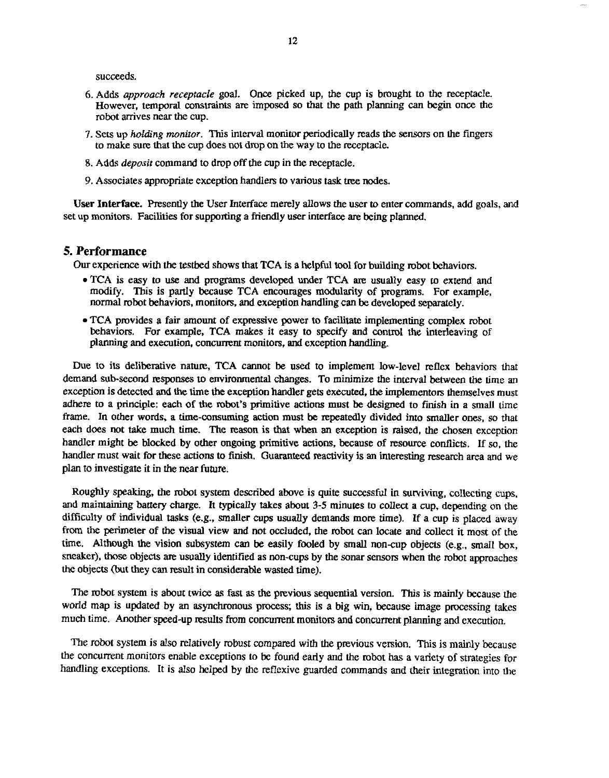succeeds.

- 6. Adds *approach recepfucle goal.* Once picked up, the cup is brought to the receptacle. However, temporal constraints are imposed **so** that the path planning *can* **begin** once the robot arrives near the cup.
- 7. Sets up *bkfing monitor.* This interval monitor periodically reads the **sensors** on the fmgers to make sure that **the** cup does not drop on the way *to* the receptacle.
- **8. Adds** *deposit* command to drop off the cup in the receptacle.
- 9. Associates appropriate exception handlers to various task tree nodes.

**User Interface.** Presently the User Interfact merely **allows** the **user** to enter commands, add goals, and set up monitors. Facilities for supporting a friendly user interface are being planned.

### *5.* **Performance**

Our experience with the testbed shows that **TCA** is a helpful tool for building robot behaviors.

- **TCA** is easy to use and programs developed under **TCA are** usually easy to extend and modify. **This** is partly because **TCA** encourages madularity of programs. For example, **normal** robot behaviors. monitors, and exception handling can be developed separately.
- **TCA** provides **a** fair amount of expressive power to facilitate implementing complex mbot behaviors. For example, TCA makes it easy to specify and control the interleaving of planning and execution, concurrent monitors, and exception handling.

Due to its deliberative nature, TCA cannot be used to implement low-level reflex behaviors ihat demand **sub-second** responses **u)** environmental changes. To minimize *the* interval between the time an exception is detected and the time the exception handler gets executed, the implementors themselves must adhere to a principle: **each** of the **robot's** primitive actions must be designed to fmish in a small time frame. In other words, a time-consuming action must be repeatedly divided into smaller ones, *so* that each does not take much time. **The reason** is that **when an** exception is raised, the chosen exception handler might be blocked by other ongoing primitive actions, because of **resource** conflicts. If *so.* the handler must wait for these actions to **finish.** Guaranteed reactivity is an interesting research area and we plan to investigate it in the near **future.** 

Roughly speaking, the robot system described above is quite successful in surviving, collecting cups, and maintaining battery charge. It typically takes about 3-5 minutes to collect a cup, depending on the difficulty of individual **tasks** (e.g., smaller cups usually demands more time). If a cup is placed away **from the** perimeter of the visual view and not occluded, the robot can locate and collect it most of the **time.** Although the vision subsystem can **be** easily fooled by **mall** non-cup objects (e.g.. small box, sneaker), **those** objects **are** usually identified as non-cups by the sonar **sensors** when the robot approaches the objects **(but** they can result in considerable wasted time).

The **robot** system is about twice **as** fast **as** the previous sequential version. This is mainly **because** the world map is updated by an asynchronous process; this is a big win, because image processing takes much time. Another speed-up results from concurrent monitors and concurrent planning and execution.

The robot system is *also* relatively robust compared with the previous version. **This** is **mainly** because the concurrent monitors enable exceptions to be found eady and the robot has a variety of strategies for handling exceptions. It is *also* helped by the reflexive guarded commands **and** their integration into the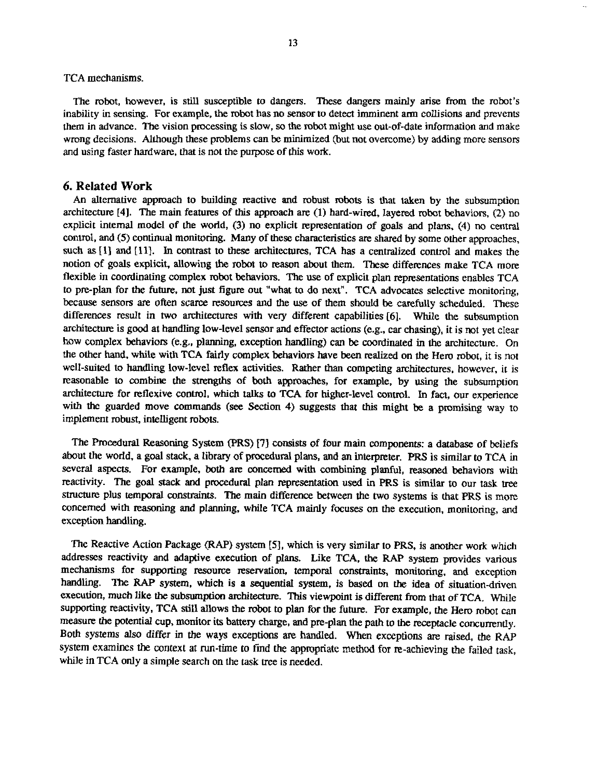TCA mechanisms.

The **robot,** however, is still susceptible to dangers. These dangers mainly arise from the robot's inability in sensing. For example, the robot has no sensor to detect imminent ann collisions and prevents them in advance. The vision processing is slow, *so* the robot might use out-of-date information and make wrong decisions. Although these problems *can* be minimized (but not overcome) by adding more sensors and using faster hardware. that is not the purpose of this work.

### **6. Related Work**

An alternative approach to building reactive and robust **robots** is that taken by the subsumption architecture [4]. The main features of this approach are (1) hard-wired, layered robot behaviors, (2) no explicit internal model of the world, (3) no explicit representation of **goals** and plans, **(4)** no central control, and *(5)* continual monitoring. Many of these characteristics are shared by some other approaches, such as [1] and [11]. In contrast to these architectures, TCA has a centralized control and makes the notion of goals explicit, allowing the **robot** to reason about them. **These** differences make TCA more flexible in coordinating complex robot behaviors. The use of explicit plan representations enables TCA to pre-plan for the *future,* **not** just **figure** out "what to do next". TCA advocates selective monitoring, because sensors are often scarce resources and the use of them should be carefully scheduled. These differences result in two architectures with very different capabilities [6]. While the subsumption architecture is good at handling low-level sensor and effector actions (e.g., car chasing), it is not yet clear how complex behaviom (e.g., planning, exception handling) can be coordinated in **the** architecture. On the other hand, while with TCA fairly complex behaviors have **been** realized on the Hero **robot,** it is not well-suited to handling low-level reflex activities. Rather than competing architectures, however, it is reasonable to combine **the strengths** of both approaches, for example, by using the subsumption architecture for reflexive control, which talks to TCA for higher-level control. In fact, our experience with **the** guarded move commands *(see* Section **4)** suggests that **this** might **be** a promising way to implement robust, intelligent **robots.** 

The Pmcedural **Reasoning** System (PRS) **[71 consists** of four main components: a database of beliefs about the world, a **goal** stack, a library of **procedural** plans, and **an** interpreter. PRS is similar to TCA in several aspects. For example, both are concerned with combining planful, reasoned behaviors with reactivity. **The** goal stack and procedural plan representation used **in PRS** is similar *to* our **task tree**  structure plus temporal constraints. The main difference between the two systems is that PRS is more concerned with reasoning and planning, while TCA mainly focuses on the execution, monitoring, and exception handling.

The Reactive Action Package *(RAP)* system **[SI,** which is very similar to **PRS,** is another work which addresses reactivity and adaptive execution of plans. Like TCA, **the** RAP system provides various mechanisms for supporting **resource** resewation. temporal **constraints,** monitoring. and exception handling. The RAP system, which is a sequential system, is based on the idea of situation-driven execution, much like the subsumption architecture. This viewpoint is different from that of TCA. While supporting reactivity, TCA still allows **the** robot to plan for the future. For example, the Hem robot can measure the potential cup, monitor its battery charge. and pre-plan the path to **the** receptacle concurrently. Both systems *also* differ in the ways exceptions **are** handled. **When** exceptions **are raised,** the RAP system examines the context at run-time to find the appropriate method for re-achieving the failed task, while in TCA only a simple search on the **task** tree is needed.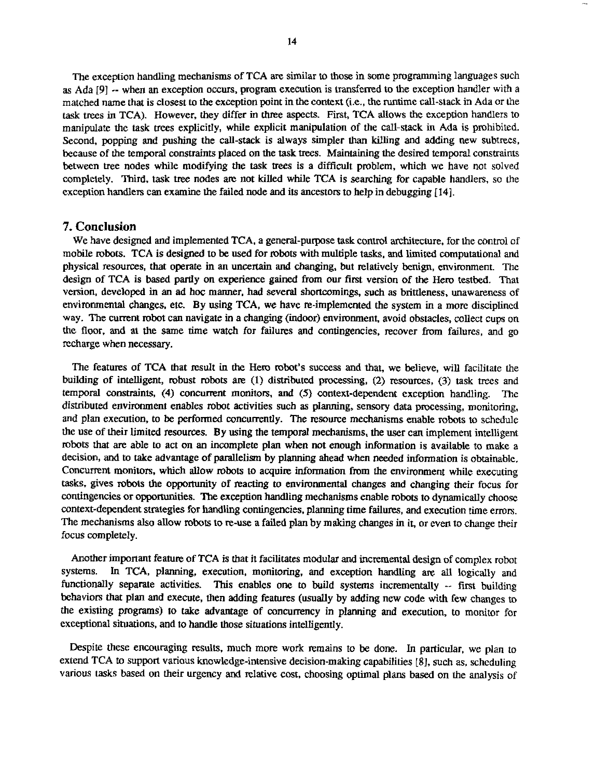The exception handling mechanisms of TCA **are** similar to **those** in some programming languages such **as** Ada [9] -- when an exception occurs, program execution is transferred to the **exception** handler with a matched name that is closest to the exception point in **the** context (Le., the runtime call-stack in Ada or Ihe task **uees** in TCA). However, they differ in three aspects. First, TCA allows the exception handlers to manipulate the task trees explicitly, while explicit manipulation of the call-stack in Ada is prohibited. Second, popping and pushing the call-stack is always simpler than killing and adding new subtrees, because of the temporal constraints placed on the **task trees.** Maintaining the desired temporal constraints between tree nodes while modifying the **task trees** is a difficult problem. which we have not solved completely. 'Ihird. task **tree** nodes **are** not killed while TCA is searching for capable handlers, so the exception handlers can examine the failed node and its ancestors to help in debugging [14].

## **7. Conclusion**

We have designed and implemented TCA, a general-purpose task control architecture, for the control of mobile **robots.** TCA is designed to be used for **robots** with multiple tasks, and limited computational and physical resources, that operate in an uncertain and changing, but relatively **benign,** environment. The design of TCA is based partly on experience gained from our first version of **the** Hero testbed. That version, developed in an ad *hoc* manner, had several shoncomings, such **as** brittleness. unawareness of environmental changes, etc. By using TCA. we have re-implemented **the** system *in* a more disciplincd way. The current **mbot** can navigate in **a** changing (indoor) environment, avoid obstacles, collect cups on the **floor,** and at *the* same time watch for **failures** and contingencies, recover from failures, and go recharge when necessary.

The features of TCA that result in **the** Hem mbot's **success** and that, we believe, will facilitate the building of intelligent, robust **robots** *m* (1) **distributed** processing, (2) **resources.** (3) **task** trees and temporal constraints, **(4)** concurrent monitors. **and** *(5)* context-dependent exception handling. The distributed environment enables robot activities such **as** planning, **sensory** data processing, monitoring, and plan execution, to **be** performed concurrently. The resource mechanisms enable robots to schedule the use of their limited resources. By using the temporal mechanisms, **the** user can implement intelligent **robots** that **are** able to act on an incomplete plan when not enough information is available to make a decision, and to **take** advantage of parallelism by planning ahead when needed information is obtainable. Concurrent monitors, which allow **robots to** acquire information from the environment while executing tasks, gives robots the opportunity of reacting to environmental changes and changing their focus for contingencies or opportunities. The exception handling mechanisms enable robots to dynamically choose context-dependent strategies for handling contingencies, planning time failures, and execution time errors. The mechanisms also **allow robots** to **re-use** a failed plan by making changes in ic or even to change their focus completely.

Another important feature of TCA is that it facilitates modular and incremental design *of* complex robot systems. In TCA, planning, execution, monitoring, and exception handling are all logically and functionally separate activities. **This** enables *one* to build systems incrementally -- first building behaviors **that** plan **and** execute, then adding features (usually by adding new code with few changes to the existing programs) to take advantage of concurrency in planning and execution, to monitor for exceptional situations. and to handle those situations intelligently.

Despite these encouraging results, much more work remains to **be** done. In particular, we plan *to*  extend TCA to support various knowledge-intensive decision-making capabilities **[81,** such **as,** scheduling various *tasks* based on their urgency and relative **cost,** choosing optimal plans based on the analysis of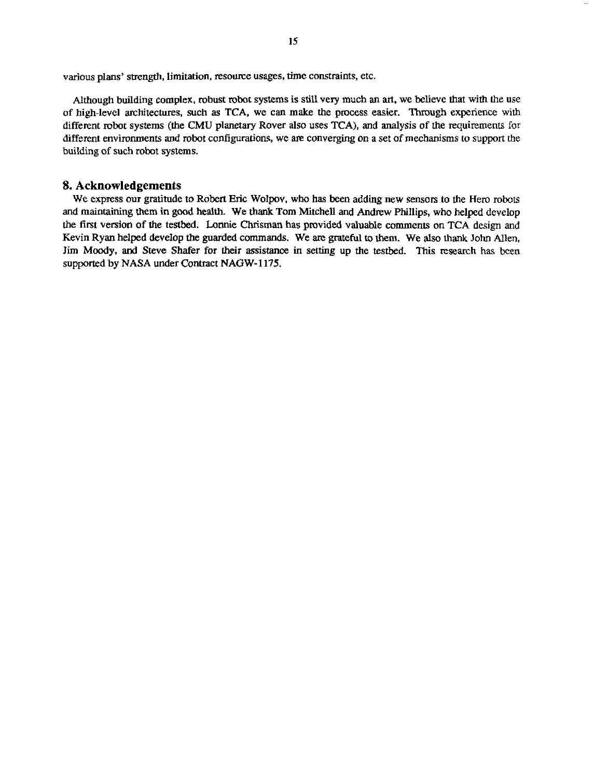various plans' strength, limitation, resome **usages,** time constraints, etc.

Although building complex, robust robot systems is still very much **an art.** we believe that with **the** use of high-level **architectures,** such **as TCA,** we can make **the** process easier. **Through** experience **with**  different robot systems (the CMU planetary Rover also **uses TCA),** and analysis **of** the **requirements** for different environments and robot configurations, we converging on **a** set of mechanisms **to** support the building of such robot systems.

## **8. Acknowledgements**

We express our gratitude to Robert Eric Wolpov, who **has** been adding new **sensors** to the Hero **robots**  and maintaining them in **good** health. We thank Tom Mitchell and Andrew Phillips, **who** helped develop the first version of **the testbed.** Lonnie Chrisman has provided valuable comments on **TCA** design **and**  Kevin Ryan helped develop the **guarded** commands. We **are grateful** to them. We also thank John Allen, Jim Moody, and Steve **Shafer** for their assistance **in** setting up the testbed. **This** research has ken supported by **NASA** under Contract **NAGW-** 1175.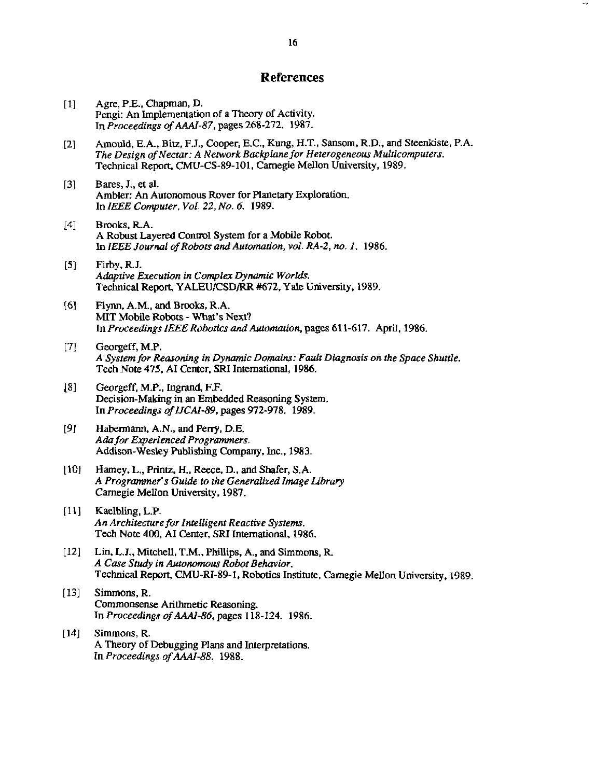## **References**

- $[1]$ Agre, P.E., Chapman, D. Pengi: An Implementation of a Theory of Activity. In Proceedings of AAAI-87, pages 268-272, 1987.
- Amould, E.A., Bitz, F.J., Cooper, E.C., Kung, H.T., Sansom, R.D., and Steenkiste, P.A.  $[2]$ The Design of Nectar: A Network Backplane for Heterogeneous Multicomputers. Technical Report, CMU-CS-89-101, Carnegie Mellon University, 1989.
- $\lceil 3 \rceil$ Bares, J., et al. Ambler: An Autonomous Rover for Planetary Exploration. In IEEE Computer, Vol. 22, No. 6. 1989.
- $[4]$ Brooks, R.A. A Robust Layered Control System for a Mobile Robot. In IEEE Journal of Robots and Automation, vol. RA-2, no. 1, 1986.
- $\vert 5 \rangle$ Firby, R.J. Adaptive Execution in Complex Dynamic Worlds. Technical Report, YALEU/CSD/RR #672, Yale University, 1989.
- $[6]$ Flynn, A.M., and Brooks, R.A. MIT Mobile Robots - What's Next? In Proceedings IEEE Robotics and Automation, pages 611-617. April, 1986.
- $[7]$ Georgeff, M.P. A System for Reasoning in Dynamic Domains: Fault Diagnosis on the Space Shuttle. Tech Note 475, AI Center, SRI International, 1986.
- $[8]$ Georgeff, M.P., Ingrand, F.F. Decision-Making in an Embedded Reasoning System. In Proceedings of IJCAI-89, pages 972-978. 1989.
- $[9]$ Habermann, A.N., and Perry, D.E. Ada for Experienced Programmers. Addison-Wesley Publishing Company, Inc., 1983.
- $[10]$ Hamey, L., Printz, H., Reece, D., and Shafer, S.A. A Programmer's Guide to the Generalized Image Library Carnegie Mellon University, 1987.
- $[11]$ Kaelbling, L.P. An Architecture for Intelligent Reactive Systems. Tech Note 400, AI Center, SRI International, 1986.
- $[12]$ Lin, L.J., Mitchell, T.M., Phillips, A., and Simmons, R. A Case Study in Autonomous Robot Behavior, Technical Report, CMU-RI-89-1, Robotics Institute, Carnegie Mellon University, 1989.
- $[13]$ Simmons, R. Commonsense Arithmetic Reasoning. In Proceedings of AAAI-86, pages 118-124. 1986.
- $[14]$ Simmons, R. A Theory of Debugging Plans and Interpretations. In Proceedings of AAAI-88, 1988.